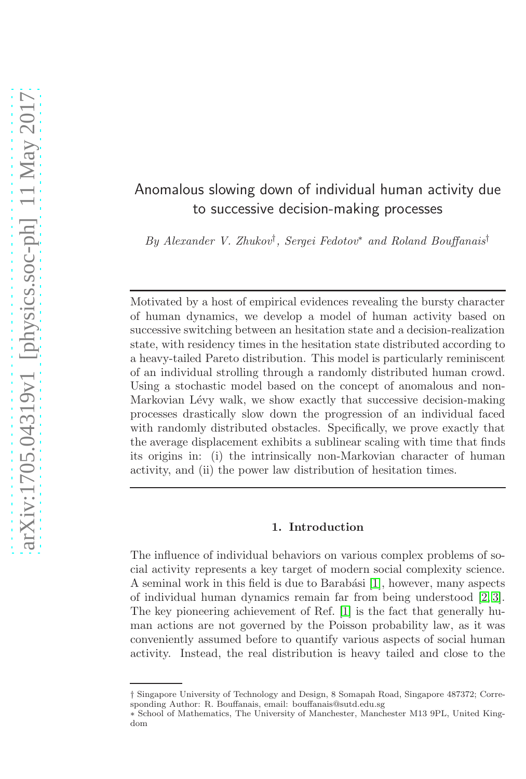# Anomalous slowing down of individual human activity due to successive decision-making processes

By Alexander V. Zhukov† , Sergei Fedotov<sup>∗</sup> and Roland Bouffanais†

Motivated by a host of empirical evidences revealing the bursty character of human dynamics, we develop a model of human activity based on successive switching between an hesitation state and a decision-realization state, with residency times in the hesitation state distributed according to a heavy-tailed Pareto distribution. This model is particularly reminiscent of an individual strolling through a randomly distributed human crowd. Using a stochastic model based on the concept of anomalous and non-Markovian Lévy walk, we show exactly that successive decision-making processes drastically slow down the progression of an individual faced with randomly distributed obstacles. Specifically, we prove exactly that the average displacement exhibits a sublinear scaling with time that finds its origins in: (i) the intrinsically non-Markovian character of human activity, and (ii) the power law distribution of hesitation times.

## 1. Introduction

The influence of individual behaviors on various complex problems of social activity represents a key target of modern social complexity science. A seminal work in this field is due to Barabási [\[1\]](#page-7-0), however, many aspects of individual human dynamics remain far from being understood [\[2,](#page-7-1) [3\]](#page-7-2). The key pioneering achievement of Ref. [\[1\]](#page-7-0) is the fact that generally human actions are not governed by the Poisson probability law, as it was conveniently assumed before to quantify various aspects of social human activity. Instead, the real distribution is heavy tailed and close to the

<sup>†</sup> Singapore University of Technology and Design, 8 Somapah Road, Singapore 487372; Corresponding Author: R. Bouffanais, email: bouffanais@sutd.edu.sg

<sup>∗</sup> School of Mathematics, The University of Manchester, Manchester M13 9PL, United Kingdom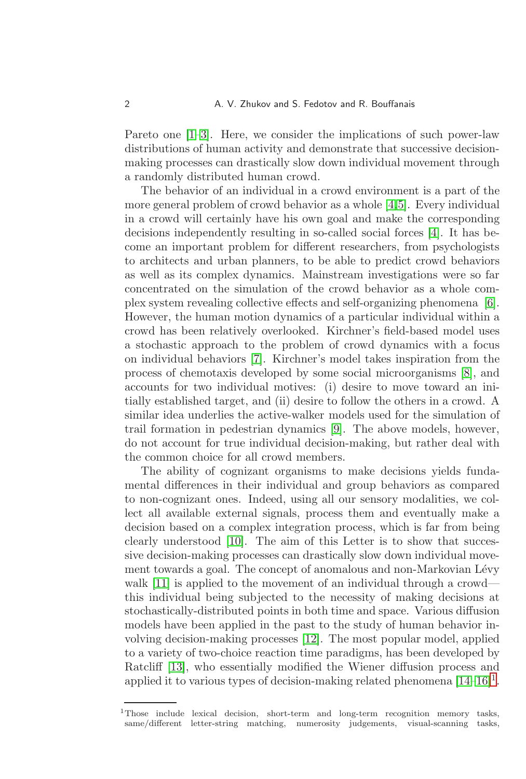Pareto one [\[1–](#page-7-0)[3\]](#page-7-2). Here, we consider the implications of such power-law distributions of human activity and demonstrate that successive decisionmaking processes can drastically slow down individual movement through a randomly distributed human crowd.

The behavior of an individual in a crowd environment is a part of the more general problem of crowd behavior as a whole [\[4,](#page-8-0)[5\]](#page-8-1). Every individual in a crowd will certainly have his own goal and make the corresponding decisions independently resulting in so-called social forces [\[4\]](#page-8-0). It has become an important problem for different researchers, from psychologists to architects and urban planners, to be able to predict crowd behaviors as well as its complex dynamics. Mainstream investigations were so far concentrated on the simulation of the crowd behavior as a whole complex system revealing collective effects and self-organizing phenomena [\[6\]](#page-8-2). However, the human motion dynamics of a particular individual within a crowd has been relatively overlooked. Kirchner's field-based model uses a stochastic approach to the problem of crowd dynamics with a focus on individual behaviors [\[7\]](#page-8-3). Kirchner's model takes inspiration from the process of chemotaxis developed by some social microorganisms [\[8\]](#page-8-4), and accounts for two individual motives: (i) desire to move toward an initially established target, and (ii) desire to follow the others in a crowd. A similar idea underlies the active-walker models used for the simulation of trail formation in pedestrian dynamics [\[9\]](#page-8-5). The above models, however, do not account for true individual decision-making, but rather deal with the common choice for all crowd members.

The ability of cognizant organisms to make decisions yields fundamental differences in their individual and group behaviors as compared to non-cognizant ones. Indeed, using all our sensory modalities, we collect all available external signals, process them and eventually make a decision based on a complex integration process, which is far from being clearly understood [\[10\]](#page-8-6). The aim of this Letter is to show that successive decision-making processes can drastically slow down individual movement towards a goal. The concept of anomalous and non-Markovian Lévy walk [\[11\]](#page-8-7) is applied to the movement of an individual through a crowd this individual being subjected to the necessity of making decisions at stochastically-distributed points in both time and space. Various diffusion models have been applied in the past to the study of human behavior involving decision-making processes [\[12\]](#page-8-8). The most popular model, applied to a variety of two-choice reaction time paradigms, has been developed by Ratcliff [\[13\]](#page-8-9), who essentially modified the Wiener diffusion process and applied it to various types of decision-making related phenomena  $[14-16]^1$  $[14-16]^1$  $[14-16]^1$  $[14-16]^1$ .

<span id="page-1-0"></span><sup>&</sup>lt;sup>1</sup>Those include lexical decision, short-term and long-term recognition memory tasks, same/different letter-string matching, numerosity judgements, visual-scanning tasks,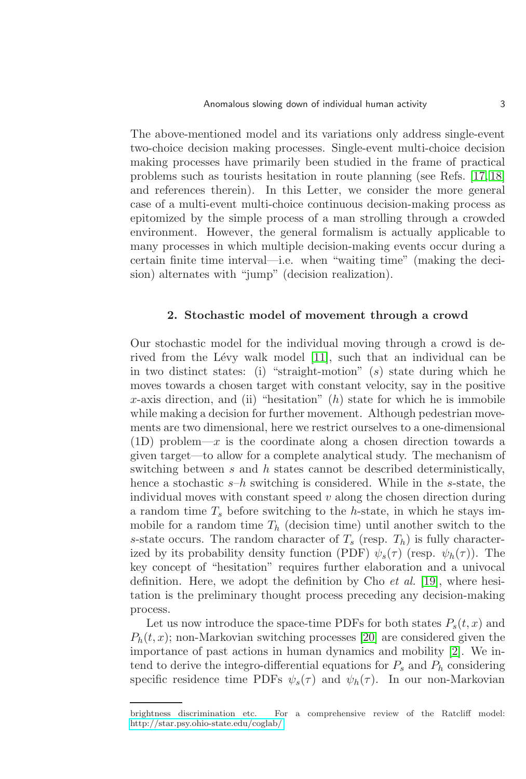The above-mentioned model and its variations only address single-event two-choice decision making processes. Single-event multi-choice decision making processes have primarily been studied in the frame of practical problems such as tourists hesitation in route planning (see Refs. [\[17,](#page-8-12) [18\]](#page-8-13) and references therein). In this Letter, we consider the more general case of a multi-event multi-choice continuous decision-making process as epitomized by the simple process of a man strolling through a crowded environment. However, the general formalism is actually applicable to many processes in which multiple decision-making events occur during a certain finite time interval—i.e. when "waiting time" (making the decision) alternates with "jump" (decision realization).

### 2. Stochastic model of movement through a crowd

Our stochastic model for the individual moving through a crowd is de-rived from the Lévy walk model [\[11\]](#page-8-7), such that an individual can be in two distinct states: (i) "straight-motion" (s) state during which he moves towards a chosen target with constant velocity, say in the positive x-axis direction, and (ii) "hesitation"  $(h)$  state for which he is immobile while making a decision for further movement. Although pedestrian movements are two dimensional, here we restrict ourselves to a one-dimensional (1D) problem—x is the coordinate along a chosen direction towards a given target—to allow for a complete analytical study. The mechanism of switching between  $s$  and  $h$  states cannot be described deterministically, hence a stochastic  $s-h$  switching is considered. While in the s-state, the individual moves with constant speed  $v$  along the chosen direction during a random time  $T_s$  before switching to the h-state, in which he stays immobile for a random time  $T_h$  (decision time) until another switch to the s-state occurs. The random character of  $T_s$  (resp.  $T_h$ ) is fully characterized by its probability density function (PDF)  $\psi_s(\tau)$  (resp.  $\psi_h(\tau)$ ). The key concept of "hesitation" requires further elaboration and a univocal definition. Here, we adopt the definition by Cho et al. [\[19\]](#page-8-14), where hesitation is the preliminary thought process preceding any decision-making process.

Let us now introduce the space-time PDFs for both states  $P_s(t, x)$  and  $P_h(t, x)$ ; non-Markovian switching processes [\[20\]](#page-8-15) are considered given the importance of past actions in human dynamics and mobility [\[2\]](#page-7-1). We intend to derive the integro-differential equations for  $P_s$  and  $P_h$  considering specific residence time PDFs  $\psi_s(\tau)$  and  $\psi_h(\tau)$ . In our non-Markovian

brightness discrimination etc. For a comprehensive review of the Ratcliff model: <http://star.psy.ohio-state.edu/coglab/>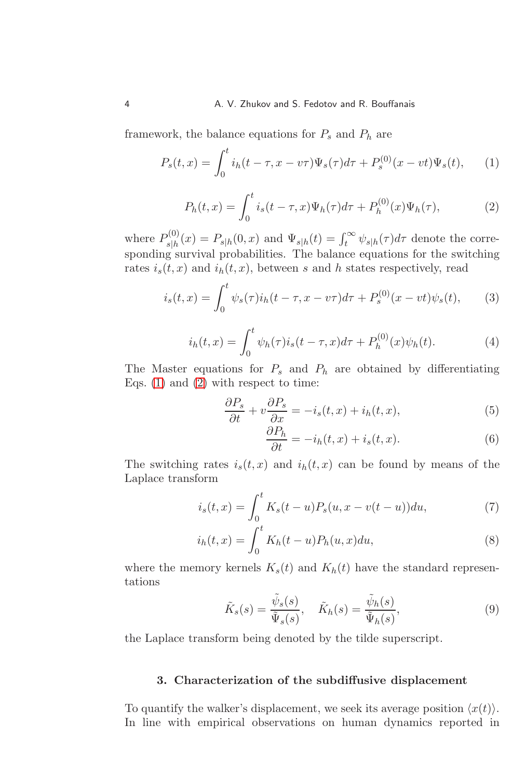framework, the balance equations for  $P_s$  and  $P_h$  are

<span id="page-3-0"></span>
$$
P_s(t,x) = \int_0^t i_h(t-\tau, x - v\tau) \Psi_s(\tau) d\tau + P_s^{(0)}(x - vt) \Psi_s(t), \qquad (1)
$$

<span id="page-3-1"></span>
$$
P_h(t,x) = \int_0^t i_s(t-\tau,x)\Psi_h(\tau)d\tau + P_h^{(0)}(x)\Psi_h(\tau),
$$
 (2)

where  $P_{\text{slb}}^{(0)}$  $s_{s|h}^{(0)}(x) = P_{s|h}(0, x)$  and  $\Psi_{s|h}(t) = \int_t^{\infty} \psi_{s|h}(\tau) d\tau$  denote the corresponding survival probabilities. The balance equations for the switching rates  $i_s(t, x)$  and  $i_h(t, x)$ , between s and h states respectively, read

$$
i_s(t,x) = \int_0^t \psi_s(\tau) i_h(t-\tau, x-v\tau) d\tau + P_s^{(0)}(x-vt) \psi_s(t), \qquad (3)
$$

$$
i_h(t,x) = \int_0^t \psi_h(\tau) i_s(t-\tau,x) d\tau + P_h^{(0)}(x) \psi_h(t).
$$
 (4)

The Master equations for  $P_s$  and  $P_h$  are obtained by differentiating Eqs.  $(1)$  and  $(2)$  with respect to time:

$$
\frac{\partial P_s}{\partial t} + v \frac{\partial P_s}{\partial x} = -i_s(t, x) + i_h(t, x),\tag{5}
$$

<span id="page-3-3"></span><span id="page-3-2"></span>
$$
\frac{\partial P_h}{\partial t} = -i_h(t, x) + i_s(t, x). \tag{6}
$$

The switching rates  $i_s(t, x)$  and  $i_h(t, x)$  can be found by means of the Laplace transform

$$
i_s(t,x) = \int_0^t K_s(t-u) P_s(u, x - v(t-u)) du,
$$
 (7)

$$
i_h(t,x) = \int_0^t K_h(t-u) P_h(u,x) du,
$$
\n(8)

where the memory kernels  $K_s(t)$  and  $K_h(t)$  have the standard representations

$$
\tilde{K}_s(s) = \frac{\tilde{\psi}_s(s)}{\tilde{\Psi}_s(s)}, \quad \tilde{K}_h(s) = \frac{\tilde{\psi}_h(s)}{\tilde{\Psi}_h(s)},
$$
\n(9)

the Laplace transform being denoted by the tilde superscript.

# 3. Characterization of the subdiffusive displacement

To quantify the walker's displacement, we seek its average position  $\langle x(t) \rangle$ . In line with empirical observations on human dynamics reported in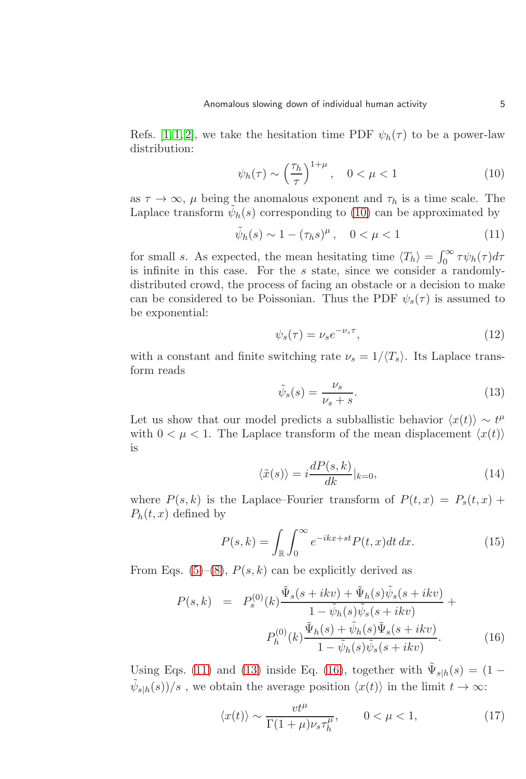Refs. [\[1, 1,](#page-7-0) [2\]](#page-7-1), we take the hesitation time PDF  $\psi_h(\tau)$  to be a power-law distribution:

<span id="page-4-0"></span>
$$
\psi_h(\tau) \sim \left(\frac{\tau_h}{\tau}\right)^{1+\mu}, \quad 0 < \mu < 1 \tag{10}
$$

as  $\tau \to \infty$ ,  $\mu$  being the anomalous exponent and  $\tau_h$  is a time scale. The Laplace transform  $\tilde{\psi}_h(s)$  corresponding to [\(10\)](#page-4-0) can be approximated by

<span id="page-4-1"></span>
$$
\tilde{\psi}_h(s) \sim 1 - (\tau_h s)^\mu, \quad 0 < \mu < 1
$$
\n<sup>(11)</sup>

for small s. As expected, the mean hesitating time  $\langle T_h \rangle = \int_0^\infty \tau \psi_h(\tau) d\tau$ is infinite in this case. For the s state, since we consider a randomlydistributed crowd, the process of facing an obstacle or a decision to make can be considered to be Poissonian. Thus the PDF  $\psi_s(\tau)$  is assumed to be exponential:

<span id="page-4-5"></span>
$$
\psi_s(\tau) = \nu_s e^{-\nu_s \tau},\tag{12}
$$

with a constant and finite switching rate  $\nu_s = 1/\langle T_s \rangle$ . Its Laplace transform reads

<span id="page-4-2"></span>
$$
\tilde{\psi}_s(s) = \frac{\nu_s}{\nu_s + s}.\tag{13}
$$

Let us show that our model predicts a subballistic behavior  $\langle x(t) \rangle \sim t^{\mu}$ with  $0 < \mu < 1$ . The Laplace transform of the mean displacement  $\langle x(t) \rangle$ is

$$
\langle \tilde{x}(s) \rangle = i \frac{dP(s,k)}{dk} |_{k=0},\tag{14}
$$

where  $P(s, k)$  is the Laplace–Fourier transform of  $P(t, x) = P_s(t, x) +$  $P_h(t, x)$  defined by

$$
P(s,k) = \int_{\mathbb{R}} \int_0^{\infty} e^{-ikx+st} P(t,x) dt dx.
$$
 (15)

From Eqs. [\(5\)](#page-3-2)–[\(8\)](#page-3-3),  $P(s, k)$  can be explicitly derived as

<span id="page-4-3"></span>
$$
P(s,k) = P_s^{(0)}(k)\frac{\tilde{\Psi}_s(s+ikv) + \tilde{\Psi}_h(s)\tilde{\psi}_s(s+ikv)}{1-\tilde{\psi}_h(s)\tilde{\psi}_s(s+ikv)} + P_h^{(0)}(k)\frac{\tilde{\Psi}_h(s) + \tilde{\psi}_h(s)\tilde{\Psi}_s(s+ikv)}{1-\tilde{\psi}_h(s)\tilde{\psi}_s(s+ikv)}.
$$
(16)

Using Eqs. [\(11\)](#page-4-1) and [\(13\)](#page-4-2) inside Eq. [\(16\)](#page-4-3), together with  $\tilde{\Psi}_{s|h}(s) = (1 \tilde{\psi}_{s|h}(s))/s$ , we obtain the average position  $\langle x(t) \rangle$  in the limit  $t \to \infty$ :

<span id="page-4-4"></span>
$$
\langle x(t) \rangle \sim \frac{vt^{\mu}}{\Gamma(1+\mu)\nu_s \tau_h^{\mu}}, \qquad 0 < \mu < 1,
$$
 (17)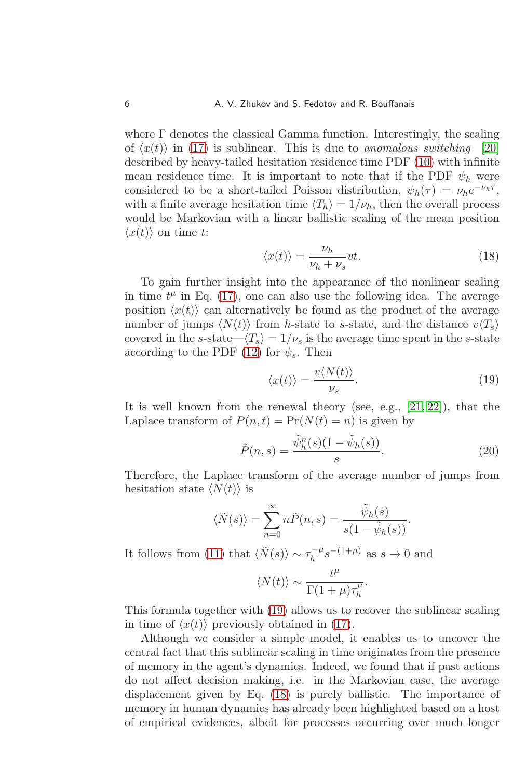where  $\Gamma$  denotes the classical Gamma function. Interestingly, the scaling of  $\langle x(t) \rangle$  in [\(17\)](#page-4-4) is sublinear. This is due to anomalous switching [\[20\]](#page-8-15) described by heavy-tailed hesitation residence time PDF [\(10\)](#page-4-0) with infinite mean residence time. It is important to note that if the PDF  $\psi_h$  were considered to be a short-tailed Poisson distribution,  $\psi_h(\tau) = \nu_h e^{-\nu_h \tau}$ , with a finite average hesitation time  $\langle T_h \rangle = 1/\nu_h$ , then the overall process would be Markovian with a linear ballistic scaling of the mean position  $\langle x(t) \rangle$  on time t:

<span id="page-5-1"></span>
$$
\langle x(t) \rangle = \frac{\nu_h}{\nu_h + \nu_s} vt.
$$
\n(18)

To gain further insight into the appearance of the nonlinear scaling in time  $t^{\mu}$  in Eq. [\(17\)](#page-4-4), one can also use the following idea. The average position  $\langle x(t) \rangle$  can alternatively be found as the product of the average number of jumps  $\langle N(t) \rangle$  from h-state to s-state, and the distance  $v\langle T_s \rangle$ covered in the s-state— $\langle T_s \rangle = 1/\nu_s$  is the average time spent in the s-state according to the PDF [\(12\)](#page-4-5) for  $\psi_s$ . Then

<span id="page-5-0"></span>
$$
\langle x(t) \rangle = \frac{v \langle N(t) \rangle}{\nu_s}.
$$
\n(19)

.

It is well known from the renewal theory (see, e.g., [\[21,](#page-8-16) [22\]](#page-8-17)), that the Laplace transform of  $P(n, t) = Pr(N(t) = n)$  is given by

$$
\tilde{P}(n,s) = \frac{\tilde{\psi}_h^n(s)(1 - \tilde{\psi}_h(s))}{s}.\tag{20}
$$

Therefore, the Laplace transform of the average number of jumps from hesitation state  $\langle N(t) \rangle$  is

$$
\langle \tilde{N}(s) \rangle = \sum_{n=0}^{\infty} n \tilde{P}(n, s) = \frac{\tilde{\psi}_h(s)}{s(1 - \tilde{\psi}_h(s))}
$$

It follows from [\(11\)](#page-4-1) that  $\langle \tilde{N}(s) \rangle \sim \tau_h^{-\mu}$  $h_h^{-\mu} s^{-(1+\mu)}$  as  $s \to 0$  and

$$
\langle N(t) \rangle \sim \frac{t^{\mu}}{\Gamma(1+\mu)\tau_h^{\mu}}.
$$

This formula together with [\(19\)](#page-5-0) allows us to recover the sublinear scaling in time of  $\langle x(t) \rangle$  previously obtained in [\(17\)](#page-4-4).

Although we consider a simple model, it enables us to uncover the central fact that this sublinear scaling in time originates from the presence of memory in the agent's dynamics. Indeed, we found that if past actions do not affect decision making, i.e. in the Markovian case, the average displacement given by Eq. [\(18\)](#page-5-1) is purely ballistic. The importance of memory in human dynamics has already been highlighted based on a host of empirical evidences, albeit for processes occurring over much longer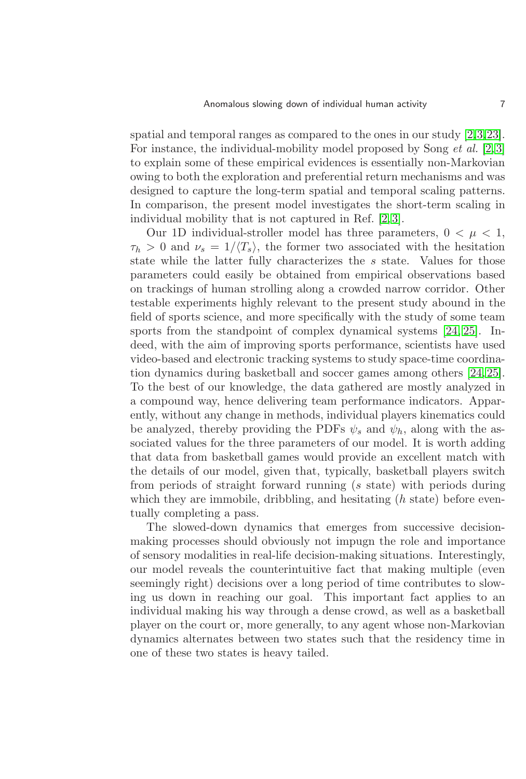spatial and temporal ranges as compared to the ones in our study [\[2,](#page-7-1)[3,](#page-7-2)[23\]](#page-8-18). For instance, the individual-mobility model proposed by Song *et al.* [\[2,](#page-7-1)3] to explain some of these empirical evidences is essentially non-Markovian owing to both the exploration and preferential return mechanisms and was designed to capture the long-term spatial and temporal scaling patterns. In comparison, the present model investigates the short-term scaling in individual mobility that is not captured in Ref. [\[2,](#page-7-1) [3\]](#page-7-2).

Our 1D individual-stroller model has three parameters,  $0 < \mu < 1$ ,  $\tau_h > 0$  and  $\nu_s = 1/\langle T_s \rangle$ , the former two associated with the hesitation state while the latter fully characterizes the s state. Values for those parameters could easily be obtained from empirical observations based on trackings of human strolling along a crowded narrow corridor. Other testable experiments highly relevant to the present study abound in the field of sports science, and more specifically with the study of some team sports from the standpoint of complex dynamical systems [\[24,](#page-8-19) [25\]](#page-8-20). Indeed, with the aim of improving sports performance, scientists have used video-based and electronic tracking systems to study space-time coordination dynamics during basketball and soccer games among others [\[24,](#page-8-19) [25\]](#page-8-20). To the best of our knowledge, the data gathered are mostly analyzed in a compound way, hence delivering team performance indicators. Apparently, without any change in methods, individual players kinematics could be analyzed, thereby providing the PDFs  $\psi_s$  and  $\psi_h$ , along with the associated values for the three parameters of our model. It is worth adding that data from basketball games would provide an excellent match with the details of our model, given that, typically, basketball players switch from periods of straight forward running (s state) with periods during which they are immobile, dribbling, and hesitating  $(h$  state) before eventually completing a pass.

The slowed-down dynamics that emerges from successive decisionmaking processes should obviously not impugn the role and importance of sensory modalities in real-life decision-making situations. Interestingly, our model reveals the counterintuitive fact that making multiple (even seemingly right) decisions over a long period of time contributes to slowing us down in reaching our goal. This important fact applies to an individual making his way through a dense crowd, as well as a basketball player on the court or, more generally, to any agent whose non-Markovian dynamics alternates between two states such that the residency time in one of these two states is heavy tailed.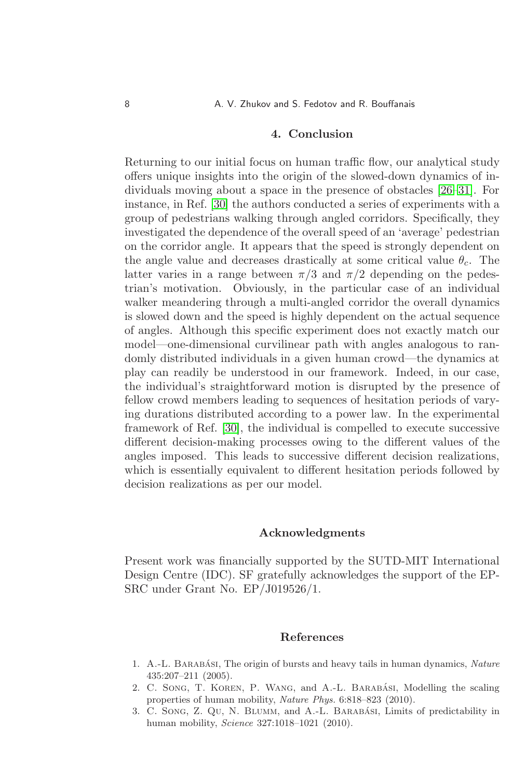## 4. Conclusion

Returning to our initial focus on human traffic flow, our analytical study offers unique insights into the origin of the slowed-down dynamics of individuals moving about a space in the presence of obstacles [\[26](#page-9-0)[–31\]](#page-9-1). For instance, in Ref. [\[30\]](#page-9-2) the authors conducted a series of experiments with a group of pedestrians walking through angled corridors. Specifically, they investigated the dependence of the overall speed of an 'average' pedestrian on the corridor angle. It appears that the speed is strongly dependent on the angle value and decreases drastically at some critical value  $\theta_c$ . The latter varies in a range between  $\pi/3$  and  $\pi/2$  depending on the pedestrian's motivation. Obviously, in the particular case of an individual walker meandering through a multi-angled corridor the overall dynamics is slowed down and the speed is highly dependent on the actual sequence of angles. Although this specific experiment does not exactly match our model—one-dimensional curvilinear path with angles analogous to randomly distributed individuals in a given human crowd—the dynamics at play can readily be understood in our framework. Indeed, in our case, the individual's straightforward motion is disrupted by the presence of fellow crowd members leading to sequences of hesitation periods of varying durations distributed according to a power law. In the experimental framework of Ref. [\[30\]](#page-9-2), the individual is compelled to execute successive different decision-making processes owing to the different values of the angles imposed. This leads to successive different decision realizations, which is essentially equivalent to different hesitation periods followed by decision realizations as per our model.

### Acknowledgments

Present work was financially supported by the SUTD-MIT International Design Centre (IDC). SF gratefully acknowledges the support of the EP-SRC under Grant No. EP/J019526/1.

#### References

- <span id="page-7-0"></span>1. A.-L. BARABÁSI, The origin of bursts and heavy tails in human dynamics, Nature 435:207–211 (2005).
- <span id="page-7-1"></span>2. C. Song, T. KOREN, P. WANG, and A.-L. BARABASI, Modelling the scaling properties of human mobility, Nature Phys. 6:818-823 (2010).
- <span id="page-7-2"></span>3. C. Song, Z. Qu, N. BLUMM, and A.-L. BARABASI, Limits of predictability in human mobility, Science 327:1018–1021 (2010).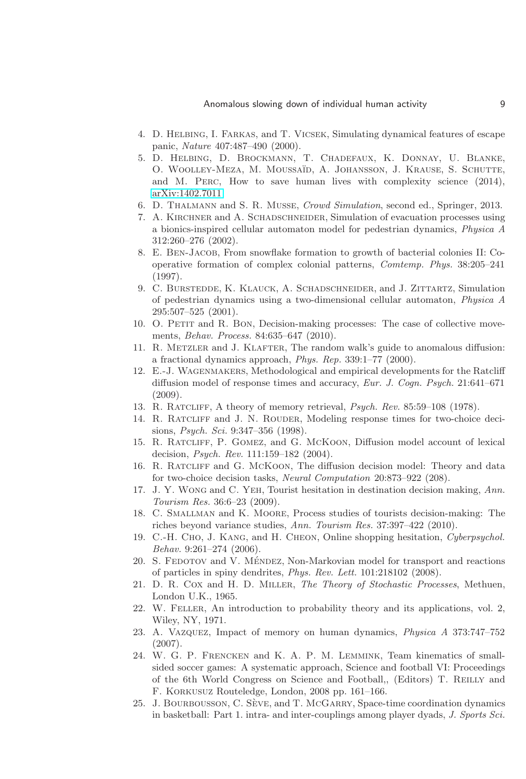#### Anomalous slowing down of individual human activity 9

- <span id="page-8-1"></span><span id="page-8-0"></span>4. D. Helbing, I. Farkas, and T. Vicsek, Simulating dynamical features of escape panic, Nature 407:487–490 (2000).
- 5. D. Helbing, D. Brockmann, T. Chadefaux, K. Donnay, U. Blanke, O. Woolley-Meza, M. Moussa¨ıd, A. Johansson, J. Krause, S. Schutte, and M. Perc, How to save human lives with complexity science (2014), [arXiv:1402.7011.](http://arxiv.org/abs/1402.7011)
- <span id="page-8-3"></span><span id="page-8-2"></span>6. D. Thalmann and S. R. Musse, Crowd Simulation, second ed., Springer, 2013.
- 7. A. Kirchner and A. Schadschneider, Simulation of evacuation processes using a bionics-inspired cellular automaton model for pedestrian dynamics, Physica A 312:260–276 (2002).
- <span id="page-8-4"></span>8. E. Ben-Jacob, From snowflake formation to growth of bacterial colonies II: Cooperative formation of complex colonial patterns, Comtemp. Phys. 38:205–241 (1997).
- <span id="page-8-5"></span>9. C. Burstedde, K. Klauck, A. Schadschneider, and J. Zittartz, Simulation of pedestrian dynamics using a two-dimensional cellular automaton, Physica A 295:507–525 (2001).
- <span id="page-8-6"></span>10. O. Petit and R. Bon, Decision-making processes: The case of collective movements, Behav. Process. 84:635–647 (2010).
- <span id="page-8-7"></span>11. R. METZLER and J. KLAFTER, The random walk's guide to anomalous diffusion: a fractional dynamics approach,  $Phys. Rep. 339:1-77 (2000).$
- <span id="page-8-8"></span>12. E.-J. Wagenmakers, Methodological and empirical developments for the Ratcliff diffusion model of response times and accuracy, Eur. J. Cogn. Psych. 21:641–671 (2009).
- <span id="page-8-10"></span><span id="page-8-9"></span>13. R. Ratcliff, A theory of memory retrieval, Psych. Rev. 85:59–108 (1978).
- 14. R. RATCLIFF and J. N. ROUDER, Modeling response times for two-choice decisions, Psych. Sci. 9:347–356 (1998).
- 15. R. Ratcliff, P. Gomez, and G. McKoon, Diffusion model account of lexical decision, Psych. Rev. 111:159–182 (2004).
- <span id="page-8-11"></span>16. R. Ratcliff and G. McKoon, The diffusion decision model: Theory and data for two-choice decision tasks, Neural Computation 20:873–922 (208).
- <span id="page-8-12"></span>17. J. Y. Wong and C. Yeh, Tourist hesitation in destination decision making, Ann. Tourism Res. 36:6–23 (2009).
- <span id="page-8-13"></span>18. C. Smallman and K. Moore, Process studies of tourists decision-making: The riches beyond variance studies, Ann. Tourism Res. 37:397–422 (2010).
- <span id="page-8-14"></span>19. C.-H. Cho, J. Kang, and H. Cheon, Online shopping hesitation, Cyberpsychol. Behav. 9:261–274 (2006).
- <span id="page-8-15"></span>20. S. FEDOTOV and V. MÉNDEZ, Non-Markovian model for transport and reactions of particles in spiny dendrites, Phys. Rev. Lett. 101:218102 (2008).
- <span id="page-8-16"></span>21. D. R. Cox and H. D. Miller, The Theory of Stochastic Processes, Methuen, London U.K., 1965.
- <span id="page-8-17"></span>22. W. Feller, An introduction to probability theory and its applications, vol. 2, Wiley, NY, 1971.
- <span id="page-8-18"></span>23. A. Vazquez, Impact of memory on human dynamics, Physica A 373:747–752 (2007).
- <span id="page-8-19"></span>24. W. G. P. Frencken and K. A. P. M. Lemmink, Team kinematics of smallsided soccer games: A systematic approach, Science and football VI: Proceedings of the 6th World Congress on Science and Football,, (Editors) T. Reilly and F. Korkusuz Routeledge, London, 2008 pp. 161–166.
- <span id="page-8-20"></span>25. J. BOURBOUSSON, C. SÈVE, and T. MCGARRY, Space-time coordination dynamics in basketball: Part 1. intra- and inter-couplings among player dyads, J. Sports Sci.